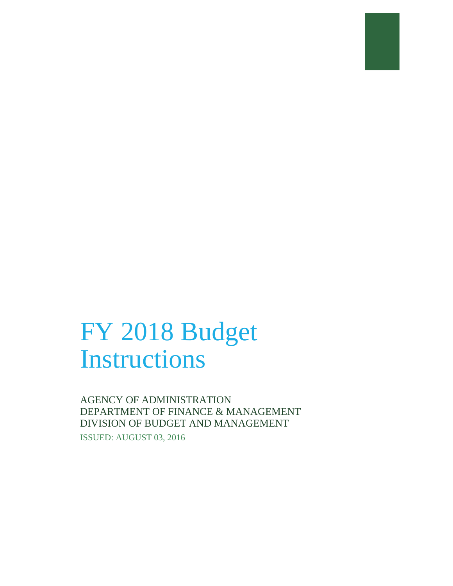# FY 2018 Budget Instructions

AGENCY OF ADMINISTRATION DEPARTMENT OF FINANCE & MANAGEMENT DIVISION OF BUDGET AND MANAGEMENT

ISSUED: AUGUST 03, 2016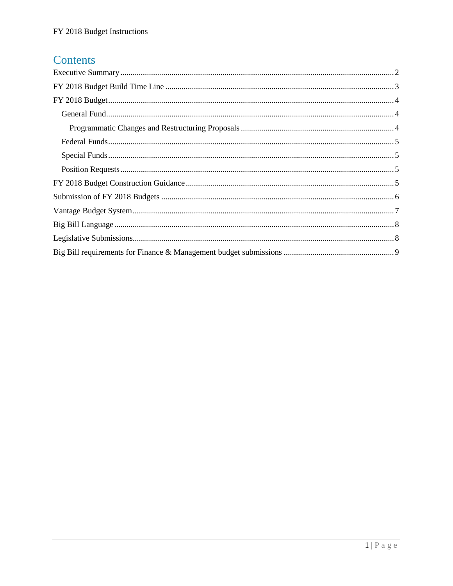# Contents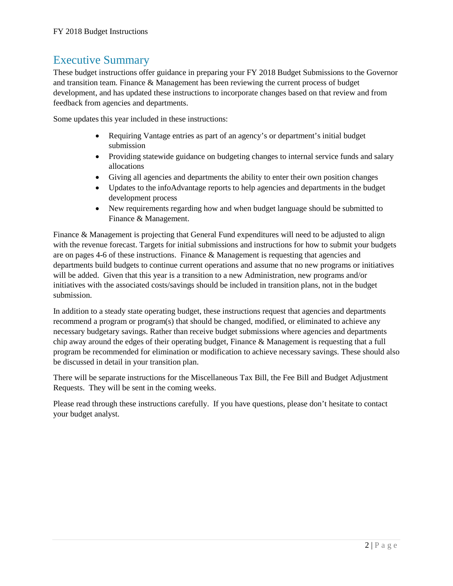## <span id="page-2-0"></span>Executive Summary

These budget instructions offer guidance in preparing your FY 2018 Budget Submissions to the Governor and transition team. Finance & Management has been reviewing the current process of budget development, and has updated these instructions to incorporate changes based on that review and from feedback from agencies and departments.

Some updates this year included in these instructions:

- Requiring Vantage entries as part of an agency's or department's initial budget submission
- Providing statewide guidance on budgeting changes to internal service funds and salary allocations
- Giving all agencies and departments the ability to enter their own position changes
- Updates to the infoAdvantage reports to help agencies and departments in the budget development process
- New requirements regarding how and when budget language should be submitted to Finance & Management.

Finance & Management is projecting that General Fund expenditures will need to be adjusted to align with the revenue forecast. Targets for initial submissions and instructions for how to submit your budgets are on pages 4-6 of these instructions. Finance & Management is requesting that agencies and departments build budgets to continue current operations and assume that no new programs or initiatives will be added. Given that this year is a transition to a new Administration, new programs and/or initiatives with the associated costs/savings should be included in transition plans, not in the budget submission.

In addition to a steady state operating budget, these instructions request that agencies and departments recommend a program or program(s) that should be changed, modified, or eliminated to achieve any necessary budgetary savings. Rather than receive budget submissions where agencies and departments chip away around the edges of their operating budget, Finance & Management is requesting that a full program be recommended for elimination or modification to achieve necessary savings. These should also be discussed in detail in your transition plan.

There will be separate instructions for the Miscellaneous Tax Bill, the Fee Bill and Budget Adjustment Requests. They will be sent in the coming weeks.

Please read through these instructions carefully. If you have questions, please don't hesitate to contact your budget analyst.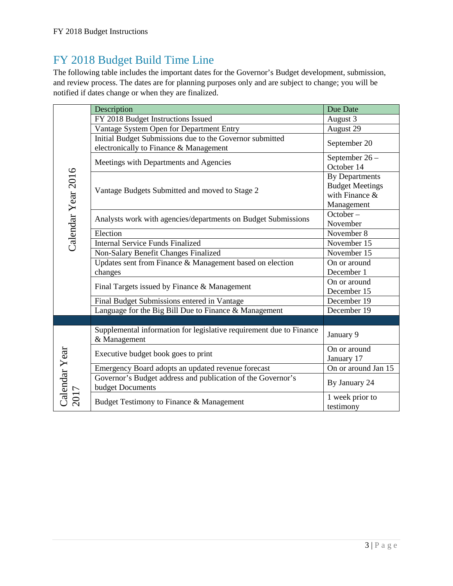# <span id="page-3-0"></span>FY 2018 Budget Build Time Line

The following table includes the important dates for the Governor's Budget development, submission, and review process. The dates are for planning purposes only and are subject to change; you will be notified if dates change or when they are finalized.

| Calendar Year 2016 | Description                                                                                        | Due Date                                                                        |
|--------------------|----------------------------------------------------------------------------------------------------|---------------------------------------------------------------------------------|
|                    | FY 2018 Budget Instructions Issued                                                                 | August 3                                                                        |
|                    | Vantage System Open for Department Entry                                                           | August 29                                                                       |
|                    | Initial Budget Submissions due to the Governor submitted<br>electronically to Finance & Management | September 20                                                                    |
|                    | Meetings with Departments and Agencies                                                             | September 26-<br>October 14                                                     |
|                    | Vantage Budgets Submitted and moved to Stage 2                                                     | <b>By Departments</b><br><b>Budget Meetings</b><br>with Finance &<br>Management |
|                    | Analysts work with agencies/departments on Budget Submissions                                      | October –<br>November                                                           |
|                    | Election                                                                                           | November 8                                                                      |
|                    | <b>Internal Service Funds Finalized</b>                                                            | November 15                                                                     |
|                    | Non-Salary Benefit Changes Finalized                                                               | November 15                                                                     |
|                    | Updates sent from Finance & Management based on election                                           | On or around                                                                    |
|                    | changes                                                                                            | December 1                                                                      |
|                    | Final Targets issued by Finance & Management                                                       | On or around<br>December 15                                                     |
|                    | Final Budget Submissions entered in Vantage                                                        | December 19                                                                     |
|                    | Language for the Big Bill Due to Finance & Management                                              | December 19                                                                     |
|                    |                                                                                                    |                                                                                 |
| Calendar Year      | Supplemental information for legislative requirement due to Finance<br>& Management                | January 9                                                                       |
|                    | Executive budget book goes to print                                                                | On or around<br>January 17                                                      |
|                    | Emergency Board adopts an updated revenue forecast                                                 | On or around Jan 15                                                             |
|                    | Governor's Budget address and publication of the Governor's<br>budget Documents                    | By January 24                                                                   |
|                    | Budget Testimony to Finance & Management                                                           | 1 week prior to<br>testimony                                                    |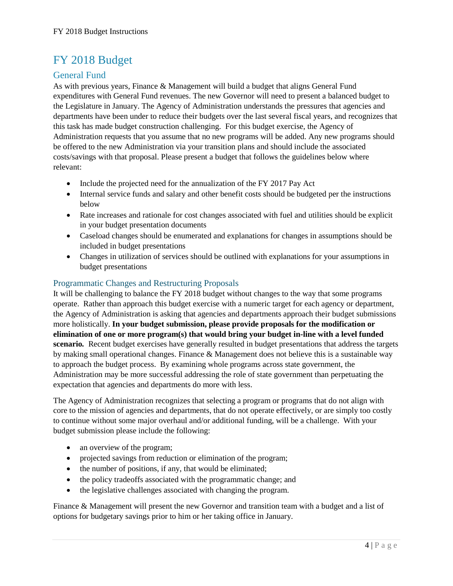# <span id="page-4-0"></span>FY 2018 Budget

#### <span id="page-4-1"></span>General Fund

As with previous years, Finance & Management will build a budget that aligns General Fund expenditures with General Fund revenues. The new Governor will need to present a balanced budget to the Legislature in January. The Agency of Administration understands the pressures that agencies and departments have been under to reduce their budgets over the last several fiscal years, and recognizes that this task has made budget construction challenging. For this budget exercise, the Agency of Administration requests that you assume that no new programs will be added. Any new programs should be offered to the new Administration via your transition plans and should include the associated costs/savings with that proposal. Please present a budget that follows the guidelines below where relevant:

- Include the projected need for the annualization of the FY 2017 Pay Act
- Internal service funds and salary and other benefit costs should be budgeted per the instructions below
- Rate increases and rationale for cost changes associated with fuel and utilities should be explicit in your budget presentation documents
- Caseload changes should be enumerated and explanations for changes in assumptions should be included in budget presentations
- Changes in utilization of services should be outlined with explanations for your assumptions in budget presentations

#### <span id="page-4-2"></span>Programmatic Changes and Restructuring Proposals

It will be challenging to balance the FY 2018 budget without changes to the way that some programs operate. Rather than approach this budget exercise with a numeric target for each agency or department, the Agency of Administration is asking that agencies and departments approach their budget submissions more holistically. **In your budget submission, please provide proposals for the modification or elimination of one or more program(s) that would bring your budget in-line with a level funded scenario***.* Recent budget exercises have generally resulted in budget presentations that address the targets by making small operational changes. Finance & Management does not believe this is a sustainable way to approach the budget process. By examining whole programs across state government, the Administration may be more successful addressing the role of state government than perpetuating the expectation that agencies and departments do more with less.

The Agency of Administration recognizes that selecting a program or programs that do not align with core to the mission of agencies and departments, that do not operate effectively, or are simply too costly to continue without some major overhaul and/or additional funding, will be a challenge. With your budget submission please include the following:

- an overview of the program;
- projected savings from reduction or elimination of the program;
- the number of positions, if any, that would be eliminated;
- the policy tradeoffs associated with the programmatic change; and
- the legislative challenges associated with changing the program.

Finance & Management will present the new Governor and transition team with a budget and a list of options for budgetary savings prior to him or her taking office in January.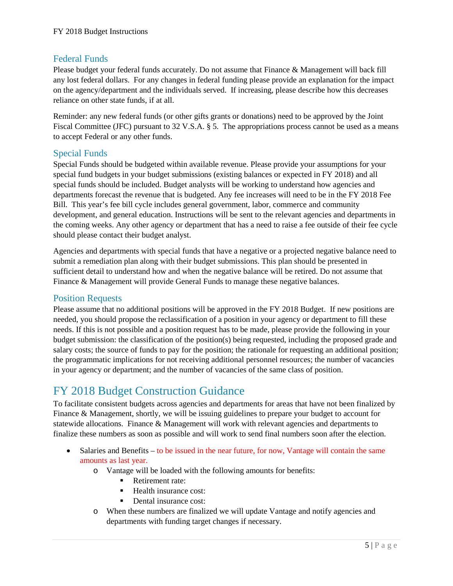#### <span id="page-5-0"></span>Federal Funds

Please budget your federal funds accurately. Do not assume that Finance & Management will back fill any lost federal dollars. For any changes in federal funding please provide an explanation for the impact on the agency/department and the individuals served. If increasing, please describe how this decreases reliance on other state funds, if at all.

Reminder: any new federal funds (or other gifts grants or donations) need to be approved by the Joint Fiscal Committee (JFC) pursuant to 32 V.S.A. § 5. The appropriations process cannot be used as a means to accept Federal or any other funds.

#### <span id="page-5-1"></span>Special Funds

Special Funds should be budgeted within available revenue. Please provide your assumptions for your special fund budgets in your budget submissions (existing balances or expected in FY 2018) and all special funds should be included. Budget analysts will be working to understand how agencies and departments forecast the revenue that is budgeted. Any fee increases will need to be in the FY 2018 Fee Bill. This year's fee bill cycle includes general government, labor, commerce and community development, and general education. Instructions will be sent to the relevant agencies and departments in the coming weeks. Any other agency or department that has a need to raise a fee outside of their fee cycle should please contact their budget analyst.

Agencies and departments with special funds that have a negative or a projected negative balance need to submit a remediation plan along with their budget submissions. This plan should be presented in sufficient detail to understand how and when the negative balance will be retired. Do not assume that Finance & Management will provide General Funds to manage these negative balances.

#### <span id="page-5-2"></span>Position Requests

Please assume that no additional positions will be approved in the FY 2018 Budget. If new positions are needed, you should propose the reclassification of a position in your agency or department to fill these needs. If this is not possible and a position request has to be made, please provide the following in your budget submission: the classification of the position(s) being requested, including the proposed grade and salary costs; the source of funds to pay for the position; the rationale for requesting an additional position; the programmatic implications for not receiving additional personnel resources; the number of vacancies in your agency or department; and the number of vacancies of the same class of position.

# <span id="page-5-3"></span>FY 2018 Budget Construction Guidance

To facilitate consistent budgets across agencies and departments for areas that have not been finalized by Finance & Management, shortly, we will be issuing guidelines to prepare your budget to account for statewide allocations. Finance & Management will work with relevant agencies and departments to finalize these numbers as soon as possible and will work to send final numbers soon after the election.

- Salaries and Benefits to be issued in the near future, for now, Vantage will contain the same amounts as last year.
	- o Vantage will be loaded with the following amounts for benefits:
		- Retirement rate:
		- $\blacksquare$  Health insurance cost:
		- Dental insurance cost:
	- o When these numbers are finalized we will update Vantage and notify agencies and departments with funding target changes if necessary.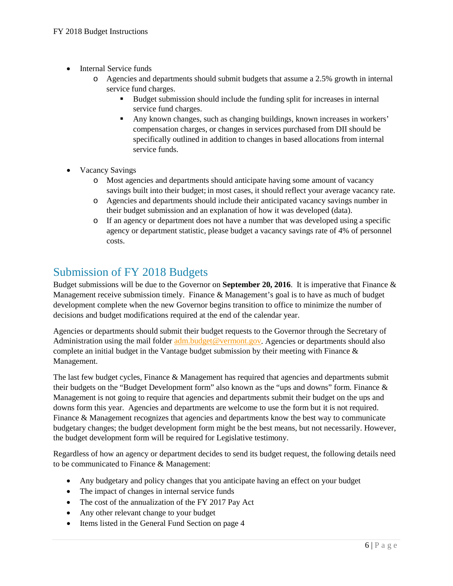- Internal Service funds
	- o Agencies and departments should submit budgets that assume a 2.5% growth in internal service fund charges.
		- Budget submission should include the funding split for increases in internal service fund charges.
		- Any known changes, such as changing buildings, known increases in workers' compensation charges, or changes in services purchased from DII should be specifically outlined in addition to changes in based allocations from internal service funds.
- Vacancy Savings
	- o Most agencies and departments should anticipate having some amount of vacancy savings built into their budget; in most cases, it should reflect your average vacancy rate.
	- o Agencies and departments should include their anticipated vacancy savings number in their budget submission and an explanation of how it was developed (data).
	- o If an agency or department does not have a number that was developed using a specific agency or department statistic, please budget a vacancy savings rate of 4% of personnel costs.

## <span id="page-6-0"></span>Submission of FY 2018 Budgets

Budget submissions will be due to the Governor on **September 20, 2016**. It is imperative that Finance & Management receive submission timely. Finance & Management's goal is to have as much of budget development complete when the new Governor begins transition to office to minimize the number of decisions and budget modifications required at the end of the calendar year.

Agencies or departments should submit their budget requests to the Governor through the Secretary of Administration using the mail folder [adm.budget@vermont.gov.](mailto:adm.budget@vermont.gov) Agencies or departments should also complete an initial budget in the Vantage budget submission by their meeting with Finance  $\&$ Management.

The last few budget cycles, Finance & Management has required that agencies and departments submit their budgets on the "Budget Development form" also known as the "ups and downs" form. Finance & Management is not going to require that agencies and departments submit their budget on the ups and downs form this year. Agencies and departments are welcome to use the form but it is not required. Finance & Management recognizes that agencies and departments know the best way to communicate budgetary changes; the budget development form might be the best means, but not necessarily. However, the budget development form will be required for Legislative testimony.

Regardless of how an agency or department decides to send its budget request, the following details need to be communicated to Finance & Management:

- Any budgetary and policy changes that you anticipate having an effect on your budget
- The impact of changes in internal service funds
- The cost of the annualization of the FY 2017 Pay Act
- Any other relevant change to your budget
- Items listed in the General Fund Section on page 4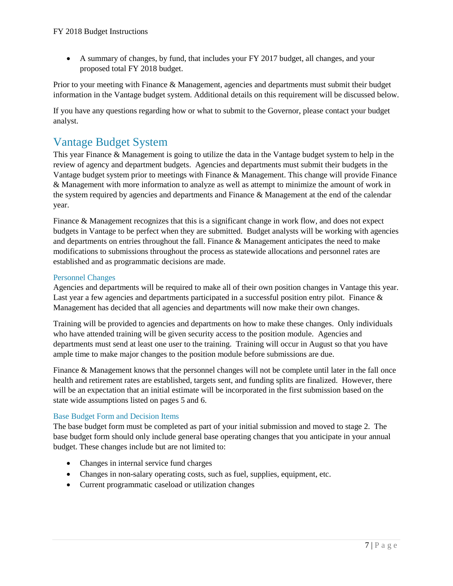• A summary of changes, by fund, that includes your FY 2017 budget, all changes, and your proposed total FY 2018 budget.

Prior to your meeting with Finance & Management, agencies and departments must submit their budget information in the Vantage budget system. Additional details on this requirement will be discussed below.

If you have any questions regarding how or what to submit to the Governor, please contact your budget analyst.

### <span id="page-7-0"></span>Vantage Budget System

This year Finance & Management is going to utilize the data in the Vantage budget system to help in the review of agency and department budgets. Agencies and departments must submit their budgets in the Vantage budget system prior to meetings with Finance & Management. This change will provide Finance & Management with more information to analyze as well as attempt to minimize the amount of work in the system required by agencies and departments and Finance & Management at the end of the calendar year.

Finance & Management recognizes that this is a significant change in work flow, and does not expect budgets in Vantage to be perfect when they are submitted. Budget analysts will be working with agencies and departments on entries throughout the fall. Finance & Management anticipates the need to make modifications to submissions throughout the process as statewide allocations and personnel rates are established and as programmatic decisions are made.

#### Personnel Changes

Agencies and departments will be required to make all of their own position changes in Vantage this year. Last year a few agencies and departments participated in a successful position entry pilot. Finance & Management has decided that all agencies and departments will now make their own changes.

Training will be provided to agencies and departments on how to make these changes. Only individuals who have attended training will be given security access to the position module. Agencies and departments must send at least one user to the training. Training will occur in August so that you have ample time to make major changes to the position module before submissions are due.

Finance & Management knows that the personnel changes will not be complete until later in the fall once health and retirement rates are established, targets sent, and funding splits are finalized. However, there will be an expectation that an initial estimate will be incorporated in the first submission based on the state wide assumptions listed on pages 5 and 6.

#### Base Budget Form and Decision Items

The base budget form must be completed as part of your initial submission and moved to stage 2. The base budget form should only include general base operating changes that you anticipate in your annual budget. These changes include but are not limited to:

- Changes in internal service fund charges
- Changes in non-salary operating costs, such as fuel, supplies, equipment, etc.
- Current programmatic caseload or utilization changes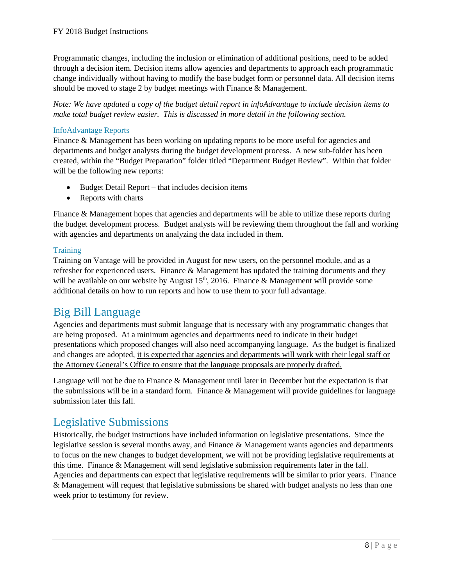Programmatic changes, including the inclusion or elimination of additional positions, need to be added through a decision item. Decision items allow agencies and departments to approach each programmatic change individually without having to modify the base budget form or personnel data. All decision items should be moved to stage 2 by budget meetings with Finance & Management.

*Note: We have updated a copy of the budget detail report in infoAdvantage to include decision items to make total budget review easier. This is discussed in more detail in the following section.* 

#### InfoAdvantage Reports

Finance & Management has been working on updating reports to be more useful for agencies and departments and budget analysts during the budget development process. A new sub-folder has been created, within the "Budget Preparation" folder titled "Department Budget Review". Within that folder will be the following new reports:

- Budget Detail Report that includes decision items
- Reports with charts

Finance & Management hopes that agencies and departments will be able to utilize these reports during the budget development process. Budget analysts will be reviewing them throughout the fall and working with agencies and departments on analyzing the data included in them.

#### **Training**

Training on Vantage will be provided in August for new users, on the personnel module, and as a refresher for experienced users. Finance & Management has updated the training documents and they will be available on our website by August  $15<sup>th</sup>$ , 2016. Finance & Management will provide some additional details on how to run reports and how to use them to your full advantage.

#### <span id="page-8-0"></span>Big Bill Language

Agencies and departments must submit language that is necessary with any programmatic changes that are being proposed. At a minimum agencies and departments need to indicate in their budget presentations which proposed changes will also need accompanying language. As the budget is finalized and changes are adopted, it is expected that agencies and departments will work with their legal staff or the Attorney General's Office to ensure that the language proposals are properly drafted.

Language will not be due to Finance & Management until later in December but the expectation is that the submissions will be in a standard form. Finance  $\&$  Management will provide guidelines for language submission later this fall.

## <span id="page-8-1"></span>Legislative Submissions

Historically, the budget instructions have included information on legislative presentations. Since the legislative session is several months away, and Finance & Management wants agencies and departments to focus on the new changes to budget development, we will not be providing legislative requirements at this time. Finance & Management will send legislative submission requirements later in the fall. Agencies and departments can expect that legislative requirements will be similar to prior years. Finance & Management will request that legislative submissions be shared with budget analysts no less than one week prior to testimony for review.